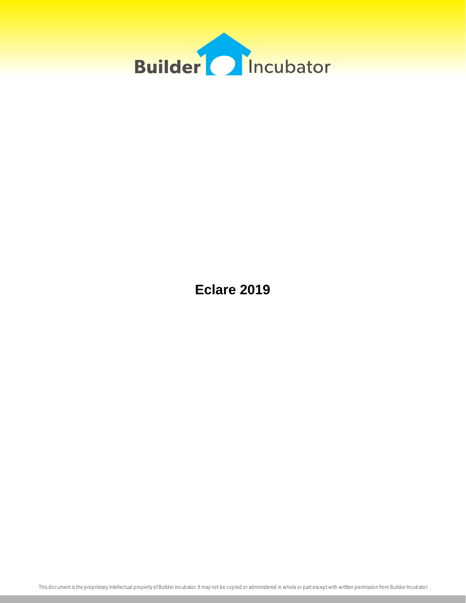

**Eclare 2019**

This document is the proprietary intellectual property of Builder Incubator. It may not be copied or administered in whole or part except with written permission from Builder Incubator.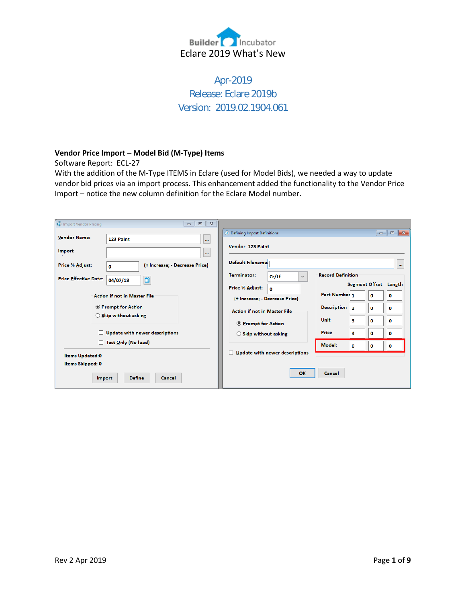

Apr-2019 Release: Eclare 2019b Version: 2019.02.1904.061

## **Vendor Price Import – Model Bid (M-Type) Items**

Software Report: ECL-27

With the addition of the M-Type ITEMS in Eclare (used for Model Bids), we needed a way to update vendor bid prices via an import process. This enhancement added the functionality to the Vendor Price Import – notice the new column definition for the Eclare Model number.

| mport Vendor Pricing                       | $\Box$<br>$\mathbb{Z}^2$<br>$\qquad \qquad \Box$                  |                                                                                                                                                         |
|--------------------------------------------|-------------------------------------------------------------------|---------------------------------------------------------------------------------------------------------------------------------------------------------|
| <b>Vendor Name:</b>                        | 123 Paint<br>$\cdots$                                             | Defining Import Definitions<br>$\begin{array}{ c c c c c }\hline \multicolumn{1}{ c }{\mathbf{C}} & \multicolumn{1}{ c }{\mathbf{X}}\hline \end{array}$ |
| <b>Import</b>                              | $\cdots$                                                          | Vendor 123 Paint                                                                                                                                        |
| Price % Adjust:                            | (+ Increase; - Decrease Price)<br>$\mathbf{0}$                    | <b>Default Filename:</b><br>$\cdots$                                                                                                                    |
| <b>Price Effective Date:</b>               | 首<br>04/07/19                                                     | <b>Record Definition</b><br><b>Terminator:</b><br>Cr/Lf<br>$\checkmark$                                                                                 |
|                                            | <b>Action if not in Master File</b><br><b>O</b> Prompt for Action | Segment Offset Length<br>Price % Adjust:<br>$\Omega$<br>Part Number 1<br>0<br>0<br>(+ Increase; - Decrease Price)<br><b>Description</b>                 |
|                                            | $\bigcirc$ Skip without asking                                    | 2<br>$\bf{0}$<br>0<br><b>Action if not in Master File</b><br><b>Unit</b><br>з<br>0<br>0<br><b>O</b> Prompt for Action                                   |
| □                                          | Update with newer descriptions                                    | <b>Price</b><br>4<br>o<br>0<br>$\bigcirc$ Skip without asking                                                                                           |
| <b>Items Updated:0</b><br>Items Skipped: 0 | Test Only (No load)                                               | Model:<br>o<br>0<br>0<br>Update with newer descriptions<br>□                                                                                            |
|                                            | <b>Define</b><br>Cancel<br>Import                                 | OK<br><b>Cancel</b>                                                                                                                                     |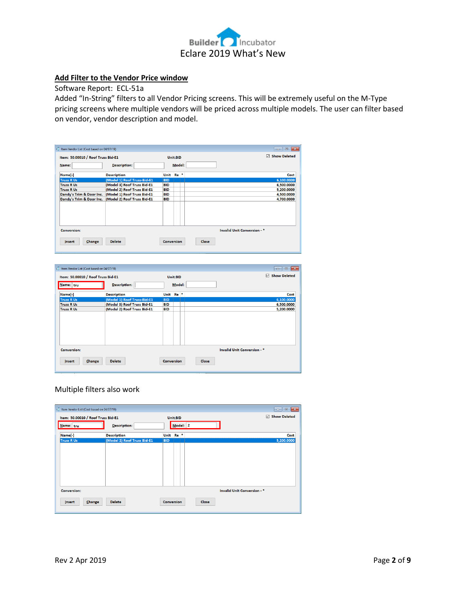

# **Add Filter to the Vendor Price window**

Software Report: ECL-51a

Added "In-String" filters to all Vendor Pricing screens. This will be extremely useful on the M-Type pricing screens where multiple vendors will be priced across multiple models. The user can filter based on vendor, vendor description and model.

|                                        | Item: 50.00010 / Roof Truss Bid-E1 |                   | Unit:BID        |       | 罓                           | <b>Show Deleted</b> |
|----------------------------------------|------------------------------------|-------------------|-----------------|-------|-----------------------------|---------------------|
| Name:                                  | Description:                       |                   | Model:          |       |                             |                     |
| Name[-]                                | <b>Description</b>                 | Unit              | Re <sup>*</sup> |       |                             | Cost                |
| <b>Truss R Us</b>                      | (Model 1) Roof Truss-Bid-E1        | <b>BID</b>        |                 |       |                             | 6,100.0000          |
| <b>Truss R Us</b>                      | (Model 3) Roof Truss Bid-E1        | <b>BID</b>        |                 |       |                             | 6,500.0000          |
| <b>Truss R Us</b>                      | (Model 2) Roof Truss Bid-E1        | <b>BID</b>        |                 |       |                             | 5,200.0000          |
| Dandy's Trim & Door Inc.               | (Model 1) Roof Truss Bid-E1        | BID               |                 |       |                             | 4,500.0000          |
| Dandy's Trim & Door Inc.               | (Model 2) Roof Truss Bid-E1        | <b>BID</b>        |                 |       |                             | 4,700.0000          |
| <b>Conversion:</b><br>Change<br>Insert | <b>Delete</b>                      | <b>Conversion</b> |                 | Close | Invalid Unit Conversion - * |                     |

| to Item Vendor List (Cost based on 04/07/19)     |                            | $\mathbf{x}$<br>$\Box$<br>$\sim$ |
|--------------------------------------------------|----------------------------|----------------------------------|
| Item: 50.00010 / Roof Truss Bid-E1               | Unit:BID                   | Show Deleted                     |
| Description:<br>Name: tru                        | Model:                     |                                  |
| Name[-]<br><b>Description</b>                    | $Re$ *<br>Unit             | Cost                             |
| (Model 1) Roof Truss-Bid-E1<br><b>Truss R Us</b> | <b>BID</b>                 | 6,100.0000                       |
| (Model 3) Roof Truss Bid-E1<br><b>Truss R Us</b> | <b>BID</b>                 | 6,500.0000                       |
| (Model 2) Roof Truss Bid-E1<br><b>Truss R Us</b> | <b>BID</b>                 | 5,200.0000                       |
|                                                  |                            |                                  |
| <b>Conversion:</b>                               |                            | Invalid Unit Conversion - *      |
| <b>Delete</b><br>Change<br>Insert                | Close<br><b>Conversion</b> |                                  |

## Multiple filters also work

| Item Vendor List (Cost based on 04/07/19) |                             |                      |          |       | $\mathbf{x}$<br>$\begin{array}{c c c c} \hline \multicolumn{3}{c }{\textbf{0}} & \multicolumn{3}{c }{\textbf{0}} \end{array}$ |
|-------------------------------------------|-----------------------------|----------------------|----------|-------|-------------------------------------------------------------------------------------------------------------------------------|
| Item: 50.00010 / Roof Truss Bid-E1        |                             |                      | Unit:BID |       | N<br><b>Show Deleted</b>                                                                                                      |
| Name: tru                                 | Description:                |                      | Model: 2 |       |                                                                                                                               |
| Name[-]                                   | <b>Description</b>          | Unit Re <sup>*</sup> |          |       | Cost                                                                                                                          |
| <b>Truss R Us</b>                         | (Model 2) Roof Truss Bid-E1 | <b>BID</b>           |          |       | 5,200.0000                                                                                                                    |
|                                           |                             |                      |          |       |                                                                                                                               |
|                                           |                             |                      |          |       |                                                                                                                               |
|                                           |                             |                      |          |       |                                                                                                                               |
|                                           |                             |                      |          |       |                                                                                                                               |
|                                           |                             |                      |          |       |                                                                                                                               |
|                                           |                             |                      |          |       |                                                                                                                               |
| <b>Conversion:</b>                        |                             |                      |          |       | Invalid Unit Conversion - *                                                                                                   |
| Change<br>Insert                          | <b>Delete</b>               | <b>Conversion</b>    |          | Close |                                                                                                                               |
|                                           |                             |                      |          |       |                                                                                                                               |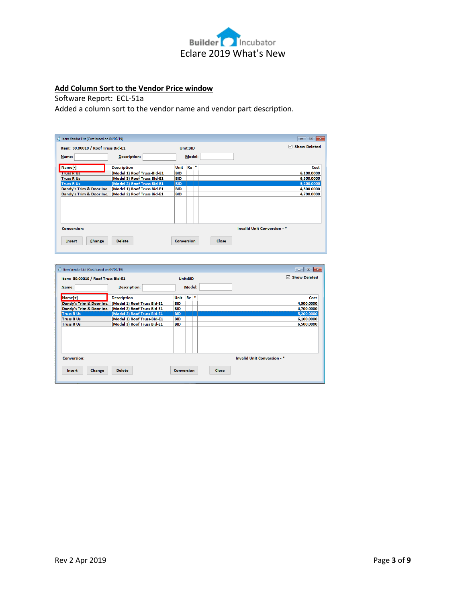

# **Add Column Sort to the Vendor Price window**

# Software Report: ECL-51a

Added a column sort to the vendor name and vendor part description.

| to Item Vendor List (Cost based on 04/07/19) |                             |                   |          |              | $\Box$ $\mathbf{x}$<br>$\Box$      |
|----------------------------------------------|-----------------------------|-------------------|----------|--------------|------------------------------------|
| Item: 50.00010 / Roof Truss Bid-E1           |                             |                   | Unit:BID |              | ☑<br><b>Show Deleted</b>           |
| Name:                                        | <b>Description:</b>         |                   | Model:   |              |                                    |
| Name[-]                                      | <b>Description</b>          | Unit              | $Re$ *   |              | Cost                               |
| <b>ITUSS K US</b>                            | (Model 1) Roof Truss-Bid-E1 | <b>BID</b>        |          |              | 6,100.0000                         |
| <b>Truss R Us</b>                            | (Model 3) Roof Truss Bid-E1 | <b>BID</b>        |          |              | 6,500.0000                         |
| <b>Truss R Us</b>                            | (Model 2) Roof Truss Bid-E1 | <b>BID</b>        |          |              | 5,200.0000                         |
| Dandy's Trim & Door Inc.                     | (Model 1) Roof Truss Bid-E1 | <b>BID</b>        |          |              | 4,500.0000                         |
| Dandy's Trim & Door Inc.                     | (Model 2) Roof Truss Bid-E1 | <b>BID</b>        |          |              | 4,700.0000                         |
|                                              |                             |                   |          |              |                                    |
| <b>Conversion:</b>                           |                             |                   |          |              | <b>Invalid Unit Conversion - *</b> |
| Change<br><b>Insert</b>                      | <b>Delete</b>               | <b>Conversion</b> |          | <b>Close</b> |                                    |

| to Item Vendor List (Cost based on 04/07/19) |                                                      |                   |          |       | $\Box$ $\mathbf{x}$<br>الده |
|----------------------------------------------|------------------------------------------------------|-------------------|----------|-------|-----------------------------|
| Item: 50.00010 / Roof Truss Bid-E1           |                                                      |                   | Unit:BID |       | <b>Show Deleted</b><br>☑    |
| Name:                                        | <b>Description:</b>                                  |                   | Model:   |       |                             |
| $Name[+]$                                    | <b>Description</b>                                   | Unit              | Re       |       | Cost                        |
| Dandy's Trim & Door Inc.                     | (Model 1) Roof Truss Bid-E1                          | <b>BID</b>        |          |       | 4,500.0000                  |
|                                              | Dandy's Trim & Door Inc. (Model 2) Roof Truss Bid-E1 | <b>BID</b>        |          |       | 4,700.0000                  |
| <b>Truss R Us</b>                            | (Model 2) Roof Truss Bid-E1                          | <b>BID</b>        |          |       | 5,200.0000                  |
| <b>Truss R Us</b>                            | (Model 1) Roof Truss-Bid-E1                          | <b>BID</b>        |          |       | 6,100.0000                  |
| <b>Truss R Us</b>                            | (Model 3) Roof Truss Bid-E1                          | <b>BID</b>        |          |       | 6,500.0000                  |
|                                              |                                                      |                   |          |       |                             |
| <b>Conversion:</b>                           |                                                      |                   |          |       | Invalid Unit Conversion - * |
| Change<br>Insert                             | <b>Delete</b>                                        | <b>Conversion</b> |          | Close |                             |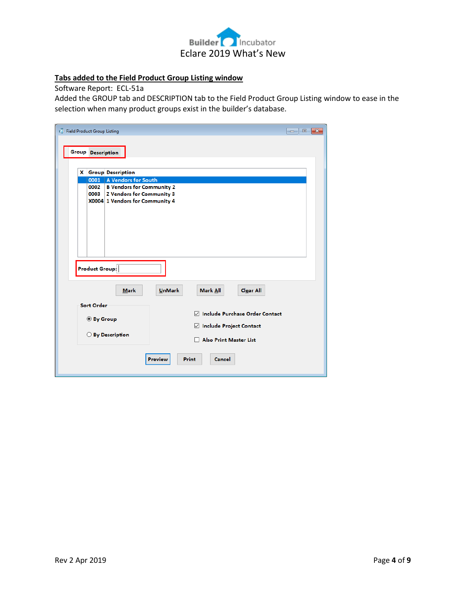

# **Tabs added to the Field Product Group Listing window**

Software Report: ECL-51a

Added the GROUP tab and DESCRIPTION tab to the Field Product Group Listing window to ease in the selection when many product groups exist in the builder's database.

| Field Product Group Listing | <b>Group Description</b>               |                                                                                                                                                                                                                                                  | $\mathbf{x}$<br>$\Box$<br>- 1 |
|-----------------------------|----------------------------------------|--------------------------------------------------------------------------------------------------------------------------------------------------------------------------------------------------------------------------------------------------|-------------------------------|
|                             | 0001<br>0002<br>0003<br>Product Group: | <b>X</b> Group Description<br>A Vendors for South<br><b>B Vendors for Community 2</b><br><b>Z Vendors for Community 3</b><br>X0004 1 Vendors for Community 4                                                                                     |                               |
|                             | <b>Sort Order</b><br>◎ By Group        | <b>UnMark</b><br>Mark All<br><b>Clear All</b><br><b>Mark</b><br><b>Include Purchase Order Contact</b><br>☑<br>$\boxdot$ Include Project Contact<br>○ By Description<br><b>Also Print Master List</b><br><b>Preview</b><br>Print<br><b>Cancel</b> |                               |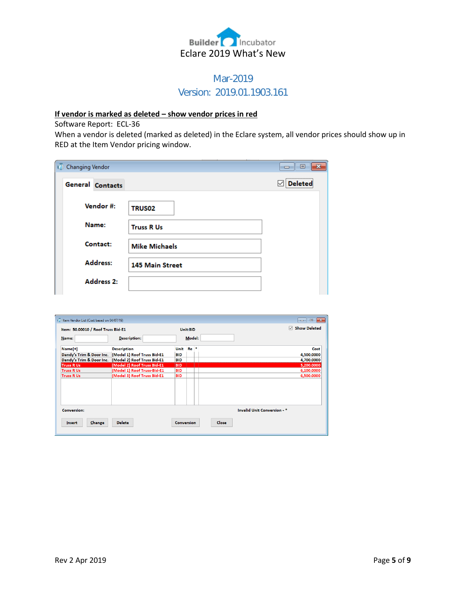

# Mar-2019 Version: 2019.01.1903.161

# **If vendor is marked as deleted – show vendor prices in red**

Software Report: ECL-36

When a vendor is deleted (marked as deleted) in the Eclare system, all vendor prices should show up in RED at the Item Vendor pricing window.

| <b>Changing Vendor</b><br>re. |                        | X<br>回<br>$\Box$ |
|-------------------------------|------------------------|------------------|
| General Contacts              |                        | <br>Deleted      |
| Vendor #:                     | TRUS02                 |                  |
| Name:                         | <b>Truss R Us</b>      |                  |
| Contact:                      | <b>Mike Michaels</b>   |                  |
| Address:                      | <b>145 Main Street</b> |                  |
| <b>Address 2:</b>             |                        |                  |

| Item: 50.00010 / Roof Truss Bid-E1 |                                                      |                   | Unit:BID | ☑<br><b>Show Deleted</b>           |
|------------------------------------|------------------------------------------------------|-------------------|----------|------------------------------------|
| Name:                              | <b>Description:</b>                                  |                   | Model:   |                                    |
| Name[+]                            | <b>Description</b>                                   | Unit              | $Re*$    | Cost                               |
| Dandy's Trim & Door Inc.           | (Model 1) Roof Truss Bid-E1                          | BID               |          | 4,500.0000                         |
|                                    | Dandy's Trim & Door Inc. (Model 2) Roof Truss Bid-E1 | <b>BID</b>        |          | 4,700.0000                         |
| <b>Truss R Us</b>                  | (Model 2) Roof Truss Bid-E1                          | <b>BID</b>        |          | 5,200.0000                         |
| <b>Truss R Us</b>                  | (Model 1) Roof Truss-Bid-E1                          | <b>BID</b>        |          | 6,100.0000                         |
| <b>Truss R Us</b>                  | (Model 3) Roof Truss Bid-E1                          | <b>BID</b>        |          | 6,500.0000                         |
|                                    |                                                      |                   |          |                                    |
|                                    |                                                      |                   |          |                                    |
|                                    |                                                      |                   |          |                                    |
| <b>Conversion:</b>                 |                                                      |                   |          | <b>Invalid Unit Conversion - *</b> |
| Change<br><b>Insert</b>            | <b>Delete</b>                                        | <b>Conversion</b> |          | <b>Close</b>                       |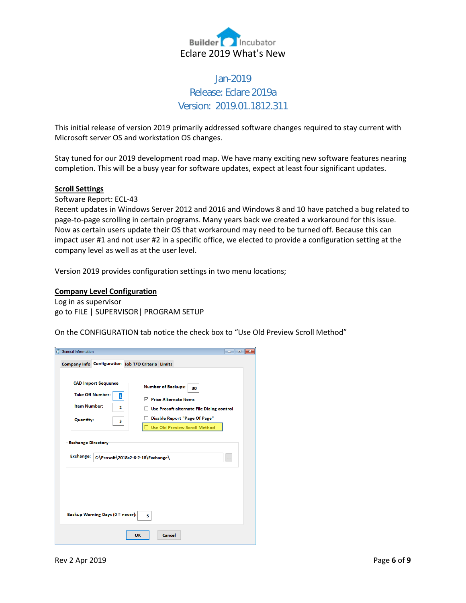

# Jan-2019 Release: Eclare 2019a Version: 2019.01.1812.311

This initial release of version 2019 primarily addressed software changes required to stay current with Microsoft server OS and workstation OS changes.

Stay tuned for our 2019 development road map. We have many exciting new software features nearing completion. This will be a busy year for software updates, expect at least four significant updates.

#### **Scroll Settings**

Software Report: ECL-43

Recent updates in Windows Server 2012 and 2016 and Windows 8 and 10 have patched a bug related to page-to-page scrolling in certain programs. Many years back we created a workaround for this issue. Now as certain users update their OS that workaround may need to be turned off. Because this can impact user #1 and not user #2 in a specific office, we elected to provide a configuration setting at the company level as well as at the user level.

Version 2019 provides configuration settings in two menu locations;

#### **Company Level Configuration**

Log in as supervisor go to FILE | SUPERVISOR| PROGRAM SETUP

On the CONFIGURATION tab notice the check box to "Use Old Preview Scroll Method"

| <b>CAD Import Sequence</b><br><b>Number of Backups:</b><br>30<br><b>Take Off Number:</b><br>1<br><b>▽ Price Alternate Items</b><br><b>Item Number:</b><br>2<br>Use Prosoft alternate File Dialog control<br>П.<br>Disable Report "Page Of Page"<br><b>Quantity:</b><br>з<br><b>Use Old Preview Scroll Method</b><br><b>Exchange Directory</b><br><b>Exchange:</b><br>C:\Prosoft\2018c2-6-2-18\Exchange\<br>$\cdots$ | <b>General Information</b><br>Company Info Configuration Job T/O Criteria Limits | $\mathbf{x}$<br>$\overline{\phantom{a}}$ $\overline{\phantom{a}}$ |  |  |  |  |  |
|---------------------------------------------------------------------------------------------------------------------------------------------------------------------------------------------------------------------------------------------------------------------------------------------------------------------------------------------------------------------------------------------------------------------|----------------------------------------------------------------------------------|-------------------------------------------------------------------|--|--|--|--|--|
|                                                                                                                                                                                                                                                                                                                                                                                                                     |                                                                                  |                                                                   |  |  |  |  |  |
| Backup Warning Days (0 = never):<br>5                                                                                                                                                                                                                                                                                                                                                                               |                                                                                  |                                                                   |  |  |  |  |  |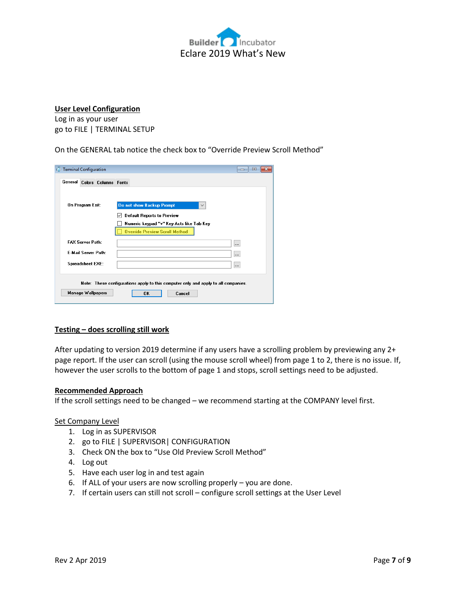

# **User Level Configuration**

Log in as your user go to FILE | TERMINAL SETUP

On the GENERAL tab notice the check box to "Override Preview Scroll Method"

| <b>C</b> Terminal Configuration | 回<br>$\Box$                                                                        |  |
|---------------------------------|------------------------------------------------------------------------------------|--|
| General Colors Columns Fonts    |                                                                                    |  |
|                                 |                                                                                    |  |
| On Program Exit:                | Do not show Backup Prompt<br>$\checkmark$                                          |  |
|                                 | Default Reports to Preview<br>✓                                                    |  |
|                                 | Numeric keypad "+" Key Acts like Tab Key                                           |  |
|                                 | <b>Override Preview Scroll Method</b>                                              |  |
| <b>FAX Server Path:</b>         | $\ddotsc$                                                                          |  |
| <b>F-Mail Server Path:</b>      |                                                                                    |  |
| <b>Spreadsheet EXE:</b>         | $\cdots$                                                                           |  |
|                                 |                                                                                    |  |
|                                 | Note: These configurations apply to this computer only and apply to all companies. |  |
| <b>Manage Wallpapers</b>        | 0K<br>Cancel                                                                       |  |
|                                 |                                                                                    |  |

# **Testing – does scrolling still work**

After updating to version 2019 determine if any users have a scrolling problem by previewing any 2+ page report. If the user can scroll (using the mouse scroll wheel) from page 1 to 2, there is no issue. If, however the user scrolls to the bottom of page 1 and stops, scroll settings need to be adjusted.

#### **Recommended Approach**

If the scroll settings need to be changed – we recommend starting at the COMPANY level first.

#### Set Company Level

- 1. Log in as SUPERVISOR
- 2. go to FILE | SUPERVISOR| CONFIGURATION
- 3. Check ON the box to "Use Old Preview Scroll Method"
- 4. Log out
- 5. Have each user log in and test again
- 6. If ALL of your users are now scrolling properly you are done.
- 7. If certain users can still not scroll configure scroll settings at the User Level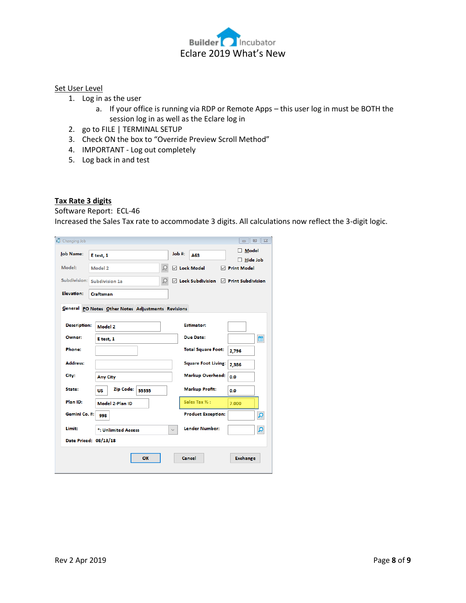

#### Set User Level

- 1. Log in as the user
	- a. If your office is running via RDP or Remote Apps this user log in must be BOTH the session log in as well as the Eclare log in
- 2. go to FILE | TERMINAL SETUP
- 3. Check ON the box to "Override Preview Scroll Method"
- 4. IMPORTANT Log out completely
- 5. Log back in and test

### **Tax Rate 3 digits**

Software Report: ECL-46

Increased the Sales Tax rate to accommodate 3 digits. All calculations now reflect the 3-digit logic.

| Changing Job        |                                                    |                                                             | $\boxdot$<br>$\Sigma$<br>$\qquad \qquad \Box$ |
|---------------------|----------------------------------------------------|-------------------------------------------------------------|-----------------------------------------------|
| <b>Job Name:</b>    | E test, 1                                          | Job #:<br>A63                                               | <b>Model</b><br><b>Hide Job</b>               |
| Model:              | Model 2                                            | $\mathcal{Q}$<br>$\boxdot$ Lock Model                       | $\triangledown$ Print Model                   |
| Subdivision:        | Subdivision 1a                                     | $\boxdot$ Lock Subdivision $\boxdot$ Print Subdivision<br>Q |                                               |
| Elevation:          | Craftsman                                          |                                                             |                                               |
|                     | General PO Notes Other Notes Adjustments Revisions |                                                             |                                               |
| <b>Description:</b> |                                                    | <b>Estimator:</b>                                           |                                               |
|                     | Model 2                                            |                                                             |                                               |
| Owner:              | E test, 1                                          | <b>Due Date:</b>                                            | 曲                                             |
| <b>Phone:</b>       |                                                    | <b>Total Square Foot:</b>                                   | 2,796                                         |
| Address:            |                                                    | <b>Square Foot Living:</b>                                  | 2,386                                         |
| City:               | <b>Any City</b>                                    | <b>Markup Overhead:</b>                                     | 0.0                                           |
| State:              | Zip Code:<br>55555<br><b>US</b>                    | <b>Markup Profit:</b>                                       | 0.0                                           |
| Plan ID:            | Model 2-Plan ID                                    | Sales Tax % :                                               | 7.000                                         |
| Gemini Co. #:       | 998                                                | <b>Product Exception:</b>                                   | ۾                                             |
| Limit:              | *: Unlimited Access                                | Lender Number:<br>$\checkmark$                              | ۄ                                             |
|                     | Date Priced: 08/13/18                              |                                                             |                                               |
|                     | OK                                                 | Cancel                                                      | <b>Exchange</b>                               |